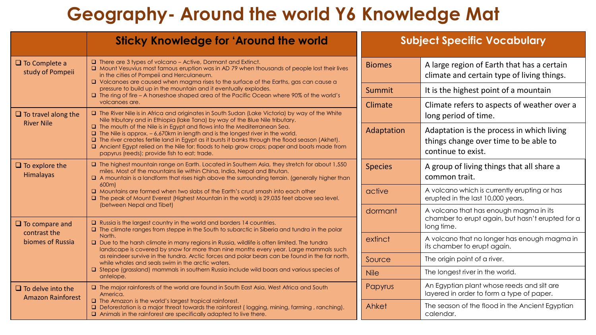## **Geography- Around the world Y6 Knowledge Mat**

|                                                           | <b>Sticky Knowledge for 'Around the world</b>                                                                                                                                                                                                                                                                                                                                                                                                                                                                                                                                                                                                                                    | <b>Subject Specific Vocabulary</b> |                                                                                                          |
|-----------------------------------------------------------|----------------------------------------------------------------------------------------------------------------------------------------------------------------------------------------------------------------------------------------------------------------------------------------------------------------------------------------------------------------------------------------------------------------------------------------------------------------------------------------------------------------------------------------------------------------------------------------------------------------------------------------------------------------------------------|------------------------------------|----------------------------------------------------------------------------------------------------------|
| $\Box$ To Complete a<br>study of Pompeii                  | $\Box$ There are 3 types of volcano – Active, Dormant and Extinct.<br>□ Mount Vesuvius most famous eruption was in AD 79 when thousands of people lost their lives<br>in the cities of Pompeii and Herculaneum.<br>□ Volcanoes are caused when magma rises to the surface of the Earths, gas can cause a<br>pressure to build up in the mountain and it eventually explodes.<br>□ The ring of fire - A horseshoe shaped area of the Pacific Ocean where 90% of the world's                                                                                                                                                                                                       | <b>Biomes</b>                      | A large region of Earth that has a certain<br>climate and certain type of living things.                 |
|                                                           |                                                                                                                                                                                                                                                                                                                                                                                                                                                                                                                                                                                                                                                                                  | Summit                             | It is the highest point of a mountain                                                                    |
| $\Box$ To travel along the<br><b>River Nile</b>           | volcanoes are.<br>The River Nile is in Africa and originates in South Sudan (Lake Victoria) by way of the White<br>Nile tributary and in Ethiopia (lake Tana) by way of the Blue Nile tributary.<br>$\Box$ The mouth of the Nile is in Egypt and flows into the Mediterranean Sea.<br>$\Box$ The Nile is approx. - 6,670km in length and is the longest river in the world.<br>$\Box$ The river creates fertile land in Egypt as it bursts it banks through the flood season (Akhet).<br><b>Q</b> Ancient Egypt relied on the Nile for: floods to help grow crops; paper and boats made from<br>papyrus (reeds); provide fish to eat; trade.                                     | Climate                            | Climate refers to aspects of weather over a<br>long period of time.                                      |
|                                                           |                                                                                                                                                                                                                                                                                                                                                                                                                                                                                                                                                                                                                                                                                  | Adaptation                         | Adaptation is the process in which living<br>things change over time to be able to<br>continue to exist. |
| $\Box$ To explore the<br>Himalayas                        | The highest mountain range on Earth. Located in Southern Asia, they stretch for about 1,550<br>miles. Most of the mountains lie within China, India, Nepal and Bhutan.<br>A mountain is a landform that rises high above the surrounding terrain. (generally higher than<br>600m)<br>□ Mountains are formed when two slabs of the Earth's crust smash into each other<br>□ The peak of Mount Everest (Highest Mountain in the world) is 29,035 feet above sea level.                                                                                                                                                                                                             | <b>Species</b>                     | A group of living things that all share a<br>common trait.                                               |
|                                                           |                                                                                                                                                                                                                                                                                                                                                                                                                                                                                                                                                                                                                                                                                  | active                             | A volcano which is currently erupting or has<br>erupted in the last 10,000 years.                        |
| $\Box$ To compare and<br>contrast the<br>biomes of Russia | (between Nepal and Tibet)<br>$\Box$ Russia is the largest country in the world and borders 14 countries.<br>$\Box$ The climate ranges from steppe in the South to subarctic in Siberia and tundra in the polar<br>North.<br>□ Due to the harsh climate in many regions in Russia, wildlife is often limited. The tundra<br>landscape is covered by snow for more than nine months every year. Large mammals such<br>as reindeer survive in the tundra. Arctic forces and polar bears can be found in the far north,<br>while whales and seals swim in the arctic waters.<br>Steppe (grassland) mammals in southern Russia include wild boars and various species of<br>antelope. | dormant                            | A volcano that has enough magma in its<br>chamber to erupt again, but hasn't erupted for a<br>long time. |
|                                                           |                                                                                                                                                                                                                                                                                                                                                                                                                                                                                                                                                                                                                                                                                  | extinct                            | A volcano that no longer has enough magma in<br>its chamber to erupt again.                              |
|                                                           |                                                                                                                                                                                                                                                                                                                                                                                                                                                                                                                                                                                                                                                                                  | Source                             | The origin point of a river.                                                                             |
|                                                           |                                                                                                                                                                                                                                                                                                                                                                                                                                                                                                                                                                                                                                                                                  | <b>Nile</b>                        | The longest river in the world.                                                                          |
| $\Box$ To delve into the<br><b>Amazon Rainforest</b>      | The major rainforests of the world are found in South East Asia, West Africa and South<br>America.<br>$\Box$ The Amazon is the world's largest tropical rainforest.<br>Deforestation is a major threat towards the rainforest (logging, mining, farming, ranching).<br>$\Box$ Animals in the rainforest are specifically adapted to live there.                                                                                                                                                                                                                                                                                                                                  | Papyrus                            | An Egyptian plant whose reeds and silt are<br>layered in order to form a type of paper.                  |
|                                                           |                                                                                                                                                                                                                                                                                                                                                                                                                                                                                                                                                                                                                                                                                  | Ahket                              | The season of the flood in the Ancient Egyptian<br>calendar.                                             |